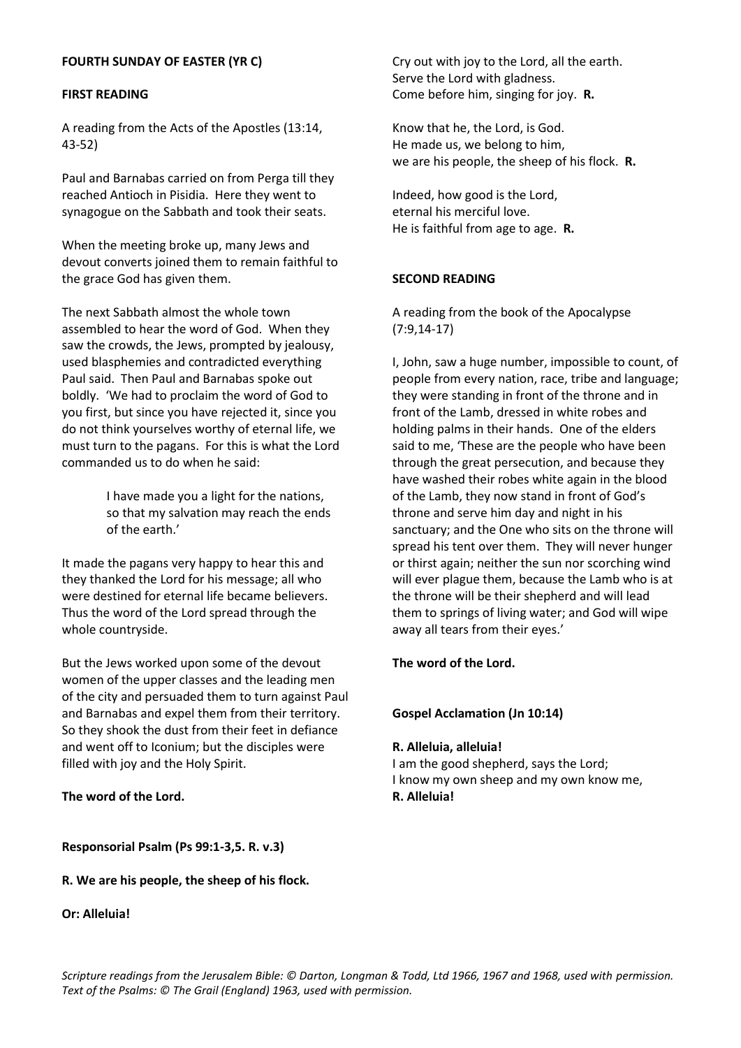## **FOURTH SUNDAY OF EASTER (YR C)**

#### **FIRST READING**

A reading from the Acts of the Apostles (13:14, 43-52)

Paul and Barnabas carried on from Perga till they reached Antioch in Pisidia. Here they went to synagogue on the Sabbath and took their seats.

When the meeting broke up, many Jews and devout converts joined them to remain faithful to the grace God has given them.

The next Sabbath almost the whole town assembled to hear the word of God. When they saw the crowds, the Jews, prompted by jealousy, used blasphemies and contradicted everything Paul said. Then Paul and Barnabas spoke out boldly. 'We had to proclaim the word of God to you first, but since you have rejected it, since you do not think yourselves worthy of eternal life, we must turn to the pagans. For this is what the Lord commanded us to do when he said:

> I have made you a light for the nations, so that my salvation may reach the ends of the earth.'

It made the pagans very happy to hear this and they thanked the Lord for his message; all who were destined for eternal life became believers. Thus the word of the Lord spread through the whole countryside.

But the Jews worked upon some of the devout women of the upper classes and the leading men of the city and persuaded them to turn against Paul and Barnabas and expel them from their territory. So they shook the dust from their feet in defiance and went off to Iconium; but the disciples were filled with joy and the Holy Spirit.

**The word of the Lord.**

Cry out with joy to the Lord, all the earth. Serve the Lord with gladness. Come before him, singing for joy. **R.**

Know that he, the Lord, is God. He made us, we belong to him, we are his people, the sheep of his flock. **R.**

Indeed, how good is the Lord, eternal his merciful love. He is faithful from age to age. **R.**

# **SECOND READING**

A reading from the book of the Apocalypse (7:9,14-17)

I, John, saw a huge number, impossible to count, of people from every nation, race, tribe and language; they were standing in front of the throne and in front of the Lamb, dressed in white robes and holding palms in their hands. One of the elders said to me, 'These are the people who have been through the great persecution, and because they have washed their robes white again in the blood of the Lamb, they now stand in front of God's throne and serve him day and night in his sanctuary; and the One who sits on the throne will spread his tent over them. They will never hunger or thirst again; neither the sun nor scorching wind will ever plague them, because the Lamb who is at the throne will be their shepherd and will lead them to springs of living water; and God will wipe away all tears from their eyes.'

### **The word of the Lord.**

#### **Gospel Acclamation (Jn 10:14)**

#### **R. Alleluia, alleluia!**

I am the good shepherd, says the Lord; I know my own sheep and my own know me, **R. Alleluia!**

**Responsorial Psalm (Ps 99:1-3,5. R. v.3)**

**R. We are his people, the sheep of his flock.**

#### **Or: Alleluia!**

*Scripture readings from the Jerusalem Bible: © Darton, Longman & Todd, Ltd 1966, 1967 and 1968, used with permission. Text of the Psalms: © The Grail (England) 1963, used with permission.*